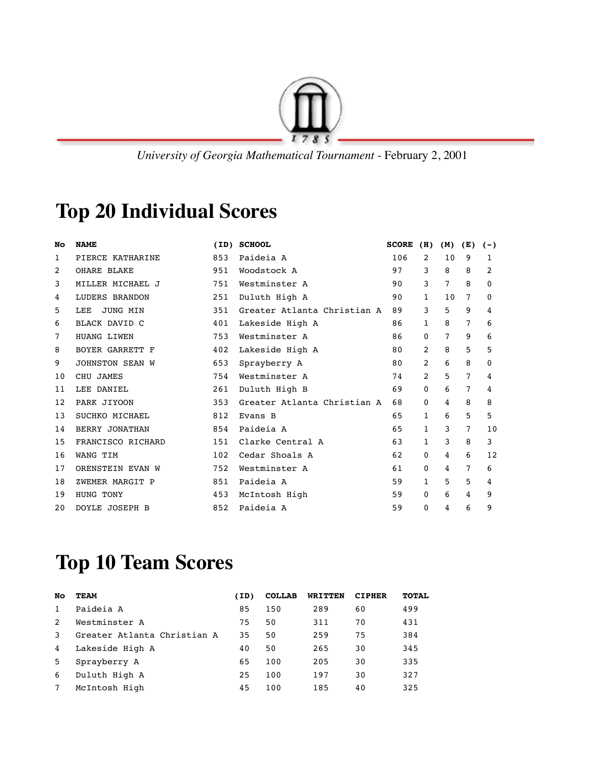

 *University of Georgia Mathematical Tournament* - February 2, 2001

## **Top 20 Individual Scores**

| No | <b>NAME</b>            | (ID) | <b>SCHOOL</b>               | <b>SCORE</b> | (H)          | (M) | (E)            | $(-)$        |
|----|------------------------|------|-----------------------------|--------------|--------------|-----|----------------|--------------|
| 1  | PIERCE KATHARINE       | 853  | Paideia A                   | 106          | 2            | 10  | 9              | 1            |
| 2  | <b>OHARE BLAKE</b>     | 951  | Woodstock A                 | 97           | 3            | 8   | 8              | 2            |
| 3  | MILLER MICHAEL J       | 751  | Westminster A               | 90           | 3            | 7   | 8              | 0            |
| 4  | <b>LUDERS BRANDON</b>  | 251  | Duluth High A               | 90           | $\mathbf{1}$ | 10  | $\overline{7}$ | $\mathbf{0}$ |
| 5  | LEE<br>JUNG MIN        | 351  | Greater Atlanta Christian A | 89           | 3            | 5   | 9              | 4            |
| 6  | <b>BLACK DAVID C</b>   | 401  | Lakeside High A             | 86           | $\mathbf{1}$ | 8   | 7              | 6            |
| 7  | HUANG LIWEN            | 753  | Westminster A               | 86           | $\mathbf{0}$ | 7   | 9              | 6            |
| 8  | BOYER GARRETT F        | 402  | Lakeside High A             | 80           | 2            | 8   | 5              | 5            |
| 9  | <b>JOHNSTON SEAN W</b> | 653  | Sprayberry A                | 80           | 2            | 6   | 8              | 0            |
| 10 | CHU JAMES              | 754  | Westminster A               | 74           | 2            | 5   | $\overline{7}$ | 4            |
| 11 | LEE DANIEL             | 261  | Duluth High B               | 69           | $\mathbf{0}$ | 6   | $\overline{7}$ | 4            |
| 12 | PARK JIYOON            | 353  | Greater Atlanta Christian A | 68           | 0            | 4   | 8              | 8            |
| 13 | SUCHKO MICHAEL         | 812  | Evans B                     | 65           | 1            | 6   | 5              | 5            |
| 14 | BERRY JONATHAN         | 854  | Paideia A                   | 65           | $\mathbf{1}$ | 3   | $\overline{7}$ | 10           |
| 15 | FRANCISCO RICHARD      | 151  | Clarke Central A            | 63           | $\mathbf{1}$ | 3   | 8              | 3            |
| 16 | WANG TIM               | 102  | Cedar Shoals A              | 62           | $\mathbf{0}$ | 4   | 6              | 12           |
| 17 | ORENSTEIN EVAN W       | 752  | Westminster A               | 61           | $\mathbf{0}$ | 4   | 7              | 6            |
| 18 | ZWEMER MARGIT P        | 851  | Paideia A                   | 59           | 1            | 5   | 5              | 4            |
| 19 | HUNG TONY              | 453  | McIntosh High               | 59           | $\mathbf{0}$ | 6   | 4              | 9            |
| 20 | DOYLE JOSEPH B         | 852  | Paideia A                   | 59           | 0            | 4   | 6              | 9            |

## **Top 10 Team Scores**

| No            | TEAM                        | (ID) | <b>COLLAB</b> | WRITTEN | <b>CIPHER</b> | <b>TOTAL</b> |
|---------------|-----------------------------|------|---------------|---------|---------------|--------------|
| 1             | Paideia A                   | 85   | 150           | 289     | 60            | 499          |
| $\mathcal{L}$ | Westminster A               | 75   | 50            | 311     | 70            | 431          |
| 3             | Greater Atlanta Christian A | 35   | 50            | 259     | 75            | 384          |
| 4             | Lakeside High A             | 40   | 50            | 265     | 30            | 345          |
| 5             | Sprayberry A                | 65   | 100           | 205     | 30            | 335          |
| 6             | Duluth High A               | 25   | 100           | 197     | 30            | 327          |
|               | McIntosh High               | 45   | 100           | 185     | 40            | 325          |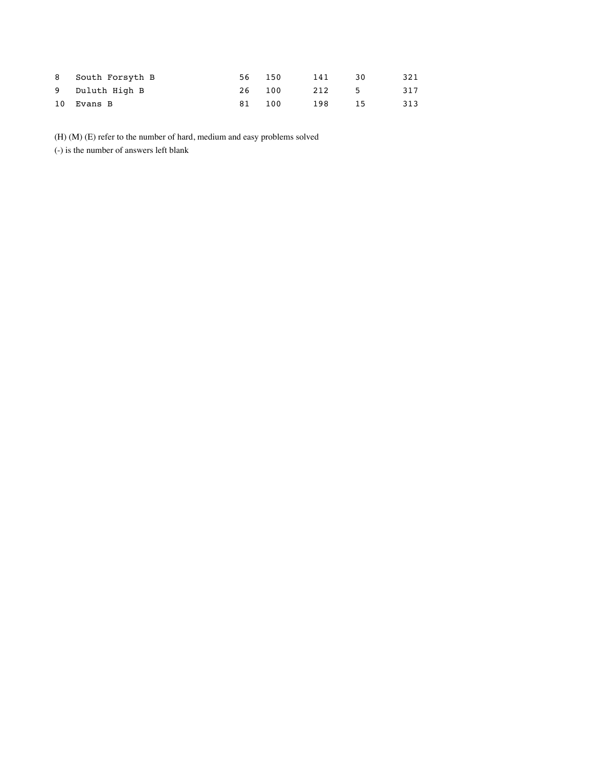| 8 South Forsyth B | 56 | 150 | 141 | 30  | 321 |
|-------------------|----|-----|-----|-----|-----|
| 9 Duluth High B   | 26 | 100 | 212 | -5. | 317 |
| 10 Evans B        | 81 | 100 | 198 | 15  | 313 |

(H) (M) (E) refer to the number of hard, medium and easy problems solved

(-) is the number of answers left blank